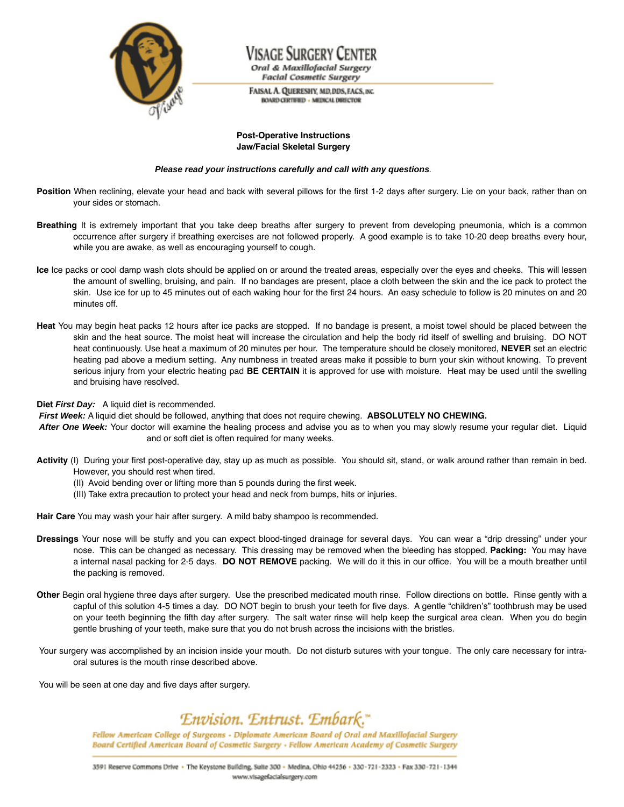

Visage Surgery Centei Oral & Maxillofacial Surgery **Facial Cosmetic Surgery** 

FAISAL A. QUERESHY, MD.DDS, FACS, INC. **BOARD CERTIFIED - MEDICAL DIRECTOR** 

## **Post-Operative Instructions Jaw/Facial Skeletal Surgery**

### **Please read your instructions carefully and call with any questions**.

- Position When reclining, elevate your head and back with several pillows for the first 1-2 days after surgery. Lie on your back, rather than on your sides or stomach.
- **Breathing** It is extremely important that you take deep breaths after surgery to prevent from developing pneumonia, which is a common occurrence after surgery if breathing exercises are not followed properly. A good example is to take 10-20 deep breaths every hour, while you are awake, as well as encouraging yourself to cough.
- **Ice** Ice packs or cool damp wash clots should be applied on or around the treated areas, especially over the eyes and cheeks. This will lessen the amount of swelling, bruising, and pain. If no bandages are present, place a cloth between the skin and the ice pack to protect the skin. Use ice for up to 45 minutes out of each waking hour for the first 24 hours. An easy schedule to follow is 20 minutes on and 20 minutes off.
- **Heat** You may begin heat packs 12 hours after ice packs are stopped. If no bandage is present, a moist towel should be placed between the skin and the heat source. The moist heat will increase the circulation and help the body rid itself of swelling and bruising. DO NOT heat continuously. Use heat a maximum of 20 minutes per hour. The temperature should be closely monitored, **NEVER** set an electric heating pad above a medium setting. Any numbness in treated areas make it possible to burn your skin without knowing. To prevent serious injury from your electric heating pad **BE CERTAIN** it is approved for use with moisture. Heat may be used until the swelling and bruising have resolved.

**Diet First Day:** A liquid diet is recommended.

**First Week:** A liquid diet should be followed, anything that does not require chewing. **ABSOLUTELY NO CHEWING.**

- **After One Week:** Your doctor will examine the healing process and advise you as to when you may slowly resume your regular diet. Liquid and or soft diet is often required for many weeks.
- **Activity** (I) During your first post-operative day, stay up as much as possible. You should sit, stand, or walk around rather than remain in bed. However, you should rest when tired.
	- (II) Avoid bending over or lifting more than 5 pounds during the first week.
	- (III) Take extra precaution to protect your head and neck from bumps, hits or injuries.

**Hair Care** You may wash your hair after surgery. A mild baby shampoo is recommended.

- **Dressings** Your nose will be stuffy and you can expect blood-tinged drainage for several days. You can wear a "drip dressing" under your nose. This can be changed as necessary. This dressing may be removed when the bleeding has stopped. **Packing:** You may have a internal nasal packing for 2-5 days. **DO NOT REMOVE** packing. We will do it this in our office. You will be a mouth breather until the packing is removed.
- **Other** Begin oral hygiene three days after surgery. Use the prescribed medicated mouth rinse. Follow directions on bottle. Rinse gently with a capful of this solution 4-5 times a day. DO NOT begin to brush your teeth for five days. A gentle "children's" toothbrush may be used on your teeth beginning the fifth day after surgery. The salt water rinse will help keep the surgical area clean. When you do begin gentle brushing of your teeth, make sure that you do not brush across the incisions with the bristles.
- Your surgery was accomplished by an incision inside your mouth. Do not disturb sutures with your tongue. The only care necessary for intraoral sutures is the mouth rinse described above.

You will be seen at one day and five days after surgery.

# Envision. Entrust. Embark."

Fellow American College of Surgeons - Diplomate American Board of Oral and Maxillofacial Surgery Board Certified American Board of Cosmetic Surgery - Fellow American Academy of Cosmetic Surgery